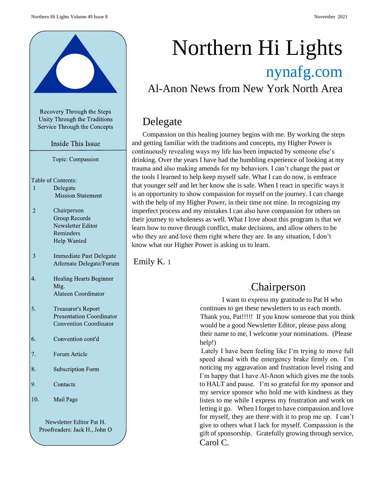

Unity Through the Traditions Service Through the Concepts

Inside This Issue

Topic: Compassion

Table of Contents:

- $\mathbf{1}$ Delegate **Mission Statement**
- $\overline{2}$ Chairperson **Group Records** Newsletter Editor Reminders Help Wanted
- $\overline{\mathbf{3}}$ Immediate Past Delegate Atlernate Delegate/Forum
- . Healing Hearts Beginner Mtg. Alateen Coordinator
- 5. **Treasurer's Report Presentation Coordinator** Convention Coordinator
- 6. Convention cont'd
- . Forum Article
- 8. **Subscription Form**
- 9. Contacts
- 10. Mail Page

Newsletter Editor Pat H.Proofreaders: Jack H., John O

# Northern Hi Lights nynafg.com

Al-Anon News from New York North Area

# Delegate

Compassion on this healing journey begins with me. By working the steps and getting familiar with the traditions and concepts, my Higher Power is continuously revealing ways my life has been impacted by someone else's drinking. Over the years I have had the humbling experience of looking at my trauma and also making amends for my behaviors. I can't change the past or the tools I learned to help keep myself safe. What I can do now, is embrace that younger self and let her know she is safe. When I react in specific ways it is an opportunity to show compassion for myself on the journey. I can change with the help of my Higher Power, in their time not mine. In recognizing my imperfect process and my mistakes I can also have compassion for others on their journey to wholeness as well. What I love about this program is that we learn how to move through conflict, make decisions, and allow others to be who they are and love them right where they are. In any situation, I don't know what our Higher Power is asking us to learn.

Emily K. 1

# .Chairperson

I want to express my gratitude to Pat H who continues to get these newsletters to us each month. Thank you, Pat!!!!! If you know someone that you think would be a good Newsletter Editor, please pass along their name to me, I welcome your nominations. (Please help!)

Lately I have been feeling like I'm trying to move full speed ahead with the emergency brake firmly on. I'm noticing my aggravation and frustration level rising and I'm happy that I have Al-Anon which gives me the tools to HALT and pause. I'm so grateful for my sponsor and my service sponsor who hold me with kindness as they listen to me while I express my frustration and work on letting it go. When I forget to have compassion and love for myself, they are there with it to prop me up. I can't give to others what I lack for myself. Compassion is the gift of sponsorship. Gratefully growing through service, Carol C.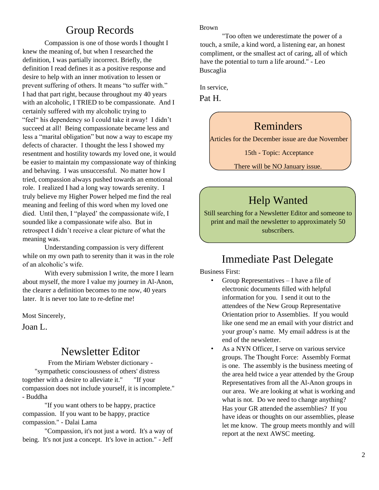# Group Records

Compassion is one of those words I thought I knew the meaning of, but when I researched the definition, I was partially incorrect. Briefly, the definition I read defines it as a positive response and desire to help with an inner motivation to lessen or prevent suffering of others. It means "to suffer with." I had that part right, because throughout my 40 years with an alcoholic, I TRIED to be compassionate. And I certainly suffered with my alcoholic trying to "feel" his dependency so I could take it away! I didn't succeed at all! Being compassionate became less and less a "marital obligation" but now a way to escape my defects of character. I thought the less I showed my resentment and hostility towards my loved one, it would be easier to maintain my compassionate way of thinking and behaving. I was unsuccessful. No matter how I tried, compassion always pushed towards an emotional role. I realized I had a long way towards serenity. I truly believe my Higher Power helped me find the real meaning and feeling of this word when my loved one died. Until then, I "played' the compassionate wife, I sounded like a compassionate wife also. But in retrospect I didn't receive a clear picture of what the meaning was.

Understanding compassion is very different while on my own path to serenity than it was in the role of an alcoholic's wife.

With every submission I write, the more I learn about myself, the more I value my journey in Al-Anon, the clearer a definition becomes to me now, 40 years later. It is never too late to re-define me!

Most Sincerely,

Joan L.

### Newsletter Editor

From the Miriam Webster dictionary - "sympathetic consciousness of others' distress together with a desire to alleviate it." "If your compassion does not include yourself, it is incomplete." - Buddha

"If you want others to be happy, practice compassion. If you want to be happy, practice compassion." - Dalai Lama

"Compassion, it's not just a word. It's a way of being. It's not just a concept. It's love in action." - Jeff

#### Brown

"Too often we underestimate the power of a touch, a smile, a kind word, a listening ear, an honest compliment, or the smallest act of caring, all of which have the potential to turn a life around." - Leo Buscaglia

In service,

Pat H.

# Reminders

Articles for the December issue are due November

15th - Topic: Acceptance

There will be NO January issue.

# Help Wanted

Still searching for a Newsletter Editor and someone to print and mail the newsletter to approximately 50 subscribers.

# Immediate Past Delegate

Business First:

- Group Representatives I have a file of electronic documents filled with helpful information for you. I send it out to the attendees of the New Group Representative Orientation prior to Assemblies. If you would like one send me an email with your district and your group's name. My email address is at the end of the newsletter.
- As a NYN Officer, I serve on various service groups. The Thought Force: Assembly Format is one. The assembly is the business meeting of the area held twice a year attended by the Group Representatives from all the Al-Anon groups in our area. We are looking at what is working and what is not. Do we need to change anything? Has your GR attended the assemblies? If you have ideas or thoughts on our assemblies, please let me know. The group meets monthly and will report at the next AWSC meeting.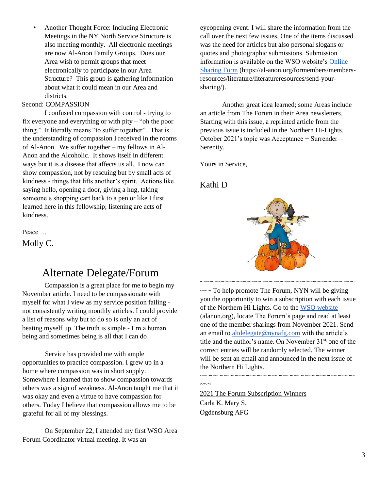• Another Thought Force: Including Electronic Meetings in the NY North Service Structure is also meeting monthly. All electronic meetings are now Al-Anon Family Groups. Does our Area wish to permit groups that meet electronically to participate in our Area Structure? This group is gathering information about what it could mean in our Area and districts.

#### Second: COMPASSION

I confused compassion with control - trying to fix everyone and everything or with pity – "oh the poor thing." It literally means "to suffer together". That is the understanding of compassion I received in the rooms of Al-Anon. We suffer together – my fellows in Al-Anon and the Alcoholic. It shows itself in different ways but it is a disease that affects us all. I now can show compassion, not by rescuing but by small acts of kindness - things that lifts another's spirit. Actions like saying hello, opening a door, giving a hug, taking someone's shopping cart back to a pen or like I first learned here in this fellowship; listening are acts of kindness.

Peace …

Molly C.

eyeopening event. I will share the information from the call over the next few issues. One of the items discussed was the need for articles but also personal slogans or quotes and photographic submissions. Submission information is available on the WSO website's Online Sharing Form (https://al-anon.org/formembers/membersresources/literature/literatureresources/send-yoursharing/).

Another great idea learned; some Areas include an article from The Forum in their Area newsletters. Starting with this issue, a reprinted article from the previous issue is included in the Northern Hi-Lights. October 2021's topic was Acceptance + Surrender = Serenity.

Yours in Service,

Kathi D



# Alternate Delegate/Forum

Compassion is a great place for me to begin my November article. I need to be compassionate with myself for what I view as my service position failing not consistently writing monthly articles. I could provide a list of reasons why but to do so is only an act of beating myself up. The truth is simple - I'm a human being and sometimes being is all that I can do!

Service has provided me with ample opportunities to practice compassion. I grew up in a home where compassion was in short supply. Somewhere I learned that to show compassion towards others was a sign of weakness. Al-Anon taught me that it was okay and even a virtue to have compassion for others. Today I believe that compassion allows me to be grateful for all of my blessings.

On September 22, I attended my first WSO Area Forum Coordinator virtual meeting. It was an

 $\sim$  To help promote The Forum, NYN will be giving you the opportunity to win a subscription with each issue of the Northern Hi Lights. Go to the WSO website (alanon.org), locate The Forum's page and read at least one of the member sharings from November 2021. Send an email to altdelegate@nynafg.com with the article's title and the author's name. On November 31<sup>st,</sup> one of the correct entries will be randomly selected. The winner will be sent an email and announced in the next issue of the Northern Hi Lights.

~~~~~~~~~~~~~~~~~~~~~~~~~~~~~~~~~~~~~~~~~~

 $\sim\sim\sim$ 

2021 The Forum Subscription Winners Carla K. Mary S. Ogdensburg AFG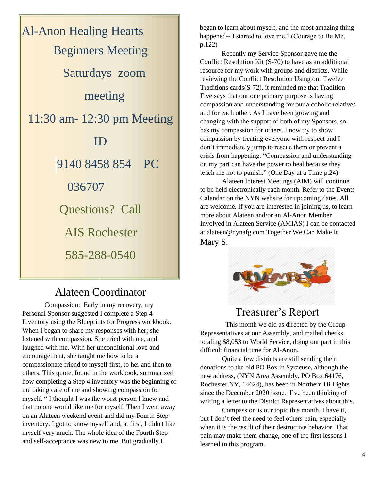

# Alateen Coordinator

Compassion: Early in my recovery, my Personal Sponsor suggested I complete a Step 4 Inventory using the Blueprints for Progress workbook. When I began to share my responses with her; she listened with compassion. She cried with me, and laughed with me. With her unconditional love and encouragement, she taught me how to be a compassionate friend to myself first, to her and then to others. This quote, found in the workbook, summarized how completing a Step 4 inventory was the beginning of me taking care of me and showing compassion for myself. " I thought I was the worst person I knew and that no one would like me for myself. Then I went away on an Alateen weekend event and did my Fourth Step inventory. I got to know myself and, at first, I didn't like myself very much. The whole idea of the Fourth Step and self-acceptance was new to me. But gradually I

began to learn about myself, and the most amazing thing happened-- I started to love me." (Courage to Be Me, p.122)

Recently my Service Sponsor gave me the Conflict Resolution Kit (S-70) to have as an additional resource for my work with groups and districts. While reviewing the Conflict Resolution Using our Twelve Traditions cards(S-72), it reminded me that Tradition Five says that our one primary purpose is having compassion and understanding for our alcoholic relatives and for each other. As I have been growing and changing with the support of both of my Sponsors, so has my compassion for others. I now try to show compassion by treating everyone with respect and I don't immediately jump to rescue them or prevent a crisis from happening. "Compassion and understanding on my part can have the power to heal because they teach me not to punish." (One Day at a Time p.24)

Alateen Interest Meetings (AIM) will continue to be held electronically each month. Refer to the Events Calendar on the NYN website for upcoming dates. All are welcome. If you are interested in joining us, to learn more about Alateen and/or an Al-Anon Member Involved in Alateen Service (AMIAS) I can be contacted at alateen@nynafg.com Together We Can Make It Mary S.



### Treasurer's Report

 This month we did as directed by the Group Representatives at our Assembly, and mailed checks totaling \$8,053 to World Service, doing our part in this difficult financial time for Al-Anon.

Quite a few districts are still sending their donations to the old PO Box in Syracuse, although the new address, (NYN Area Assembly, PO Box 64176, Rochester NY, 14624), has been in Northern Hi Lights since the December 2020 issue. I've been thinking of writing a letter to the District Representatives about this.

Compassion is our topic this month. I have it, but I don't feel the need to feel others pain, especially when it is the result of their destructive behavior. That pain may make them change, one of the first lessons I learned in this program.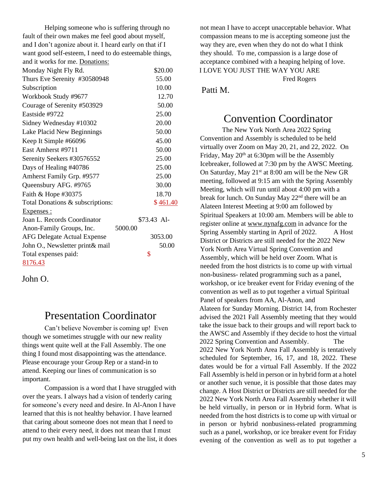Helping someone who is suffering through no fault of their own makes me feel good about myself, and I don't agonize about it. I heard early on that if I want good self-esteem, I need to do esteemable things, and it works for me. Donations:

| Monday Night Fly Rd.               | \$20.00     |
|------------------------------------|-------------|
| Thurs Eve Serenity #30580948       | 55.00       |
| Subscription                       | 10.00       |
| Workbook Study #9677               | 12.70       |
| Courage of Serenity #503929        | 50.00       |
| Eastside #9722                     | 25.00       |
| Sidney Wednesday #10302            | 20.00       |
| Lake Placid New Beginnings         | 50.00       |
| Keep It Simple #66096              | 45.00       |
| East Amherst #9711                 | 50.00       |
| Serenity Seekers #30576552         | 25.00       |
| Days of Healing #40786             | 25.00       |
| Amherst Family Grp. #9577          | 25.00       |
| Queensbury AFG. #9765              | 30.00       |
| Faith & Hope #30375                | 18.70       |
| Total Donations & subscriptions:   | \$461.40    |
| Expenses :                         |             |
| Joan L. Records Coordinator        | \$73.43 Al- |
| Anon-Family Groups, Inc.           | 5000.00     |
| <b>AFG Delegate Actual Expense</b> | 3053.00     |
| John O., Newsletter print& mail    | 50.00       |
| Total expenses paid:               | \$          |
| 8176.43                            |             |

John O.

# Presentation Coordinator

Can't believe November is coming up! Even though we sometimes struggle with our new reality things went quite well at the Fall Assembly. The one thing I found most disappointing was the attendance. Please encourage your Group Rep or a stand-in to attend. Keeping our lines of communication is so important.

Compassion is a word that I have struggled with over the years. I always had a vision of tenderly caring for someone's every need and desire. In Al-Anon I have learned that this is not healthy behavior. I have learned that caring about someone does not mean that I need to attend to their every need, it does not mean that I must put my own health and well-being last on the list, it does not mean I have to accept unacceptable behavior. What compassion means to me is accepting someone just the way they are, even when they do not do what I think they should. To me, compassion is a large dose of acceptance combined with a heaping helping of love. I LOVE YOU JUST THE WAY YOU ARE

Fred Rogers

Patti M.

### Convention Coordinator

The New York North Area 2022 Spring Convention and Assembly is scheduled to be held virtually over Zoom on May 20, 21, and 22, 2022. On Friday, May  $20<sup>th</sup>$  at 6:30pm will be the Assembly Icebreaker, followed at 7:30 pm by the AWSC Meeting. On Saturday, May  $21^{st}$  at 8:00 am will be the New GR meeting, followed at 9:15 am with the Spring Assembly Meeting, which will run until about 4:00 pm with a break for lunch. On Sunday May 22nd there will be an Alateen Interest Meeting at 9:00 am followed by Spiritual Speakers at 10:00 am. Members will be able to register online at www.nynafg.com in advance for the Spring Assembly starting in April of 2022. A Host District or Districts are still needed for the 2022 New York North Area Virtual Spring Convention and Assembly, which will be held over Zoom. What is needed from the host districts is to come up with virtual non-business- related programming such as a panel, workshop, or ice breaker event for Friday evening of the convention as well as to put together a virtual Spiritual Panel of speakers from AA, Al-Anon, and Alateen for Sunday Morning. District 14, from Rochester advised the 2021 Fall Assembly meeting that they would take the issue back to their groups and will report back to the AWSC and Assembly if they decide to host the virtual 2022 Spring Convention and Assembly. The 2022 New York North Area Fall Assembly is tentatively scheduled for September, 16, 17, and 18, 2022. These dates would be for a virtual Fall Assembly. If the 2022 Fall Assembly is held in person or in hybrid form at a hotel or another such venue, it is possible that those dates may change. A Host District or Districts are still needed for the 2022 New York North Area Fall Assembly whether it will be held virtually, in person or in Hybrid form. What is needed from the host districts is to come up with virtual or in person or hybrid nonbusiness-related programming such as a panel, workshop, or ice breaker event for Friday evening of the convention as well as to put together a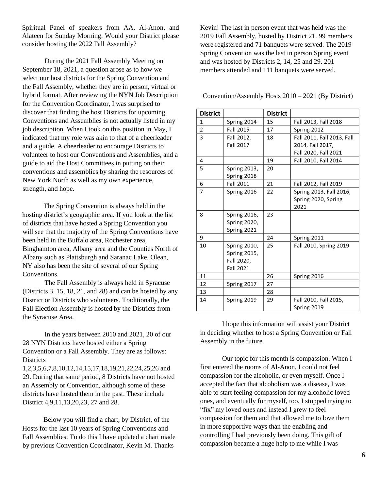Spiritual Panel of speakers from AA, Al-Anon, and Alateen for Sunday Morning. Would your District please consider hosting the 2022 Fall Assembly?

During the 2021 Fall Assembly Meeting on September 18, 2021, a question arose as to how we select our host districts for the Spring Convention and the Fall Assembly, whether they are in person, virtual or hybrid format. After reviewing the NYN Job Description for the Convention Coordinator, I was surprised to discover that finding the host Districts for upcoming Conventions and Assemblies is not actually listed in my job description. When I took on this position in May, I indicated that my role was akin to that of a cheerleader and a guide. A cheerleader to encourage Districts to volunteer to host our Conventions and Assemblies, and a guide to aid the Host Committees in putting on their conventions and assemblies by sharing the resources of New York North as well as my own experience, strength, and hope.

The Spring Convention is always held in the hosting district's geographic area. If you look at the list of districts that have hosted a Spring Convention you will see that the majority of the Spring Conventions have been held in the Buffalo area, Rochester area, Binghamton area, Albany area and the Counties North of Albany such as Plattsburgh and Saranac Lake. Olean, NY also has been the site of several of our Spring Conventions.

The Fall Assembly is always held in Syracuse (Districts 3, 15, 18, 21, and 28) and can be hosted by any District or Districts who volunteers. Traditionally, the Fall Election Assembly is hosted by the Districts from the Syracuse Area.

In the years between 2010 and 2021, 20 of our 28 NYN Districts have hosted either a Spring Convention or a Fall Assembly. They are as follows: **Districts** 

1,2,3,5,6,7,8,10,12,14,15,17,18,19,21,22,24,25,26 and 29. During that same period, 8 Districts have not hosted an Assembly or Convention, although some of these districts have hosted them in the past. These include District 4,9,11,13,20,23, 27 and 28.

Below you will find a chart, by District, of the Hosts for the last 10 years of Spring Conventions and Fall Assemblies. To do this I have updated a chart made by previous Convention Coordinator, Kevin M. Thanks

Kevin! The last in person event that was held was the 2019 Fall Assembly, hosted by District 21. 99 members were registered and 71 banquets were served. The 2019 Spring Convention was the last in person Spring event and was hosted by Districts 2, 14, 25 and 29. 201 members attended and 111 banquets were served.

Convention/Assembly Hosts 2010 – 2021 (By District)

| <b>District</b> |                     | <b>District</b> |                            |
|-----------------|---------------------|-----------------|----------------------------|
| 1               | Spring 2014         | 15              | Fall 2013, Fall 2018       |
| $\overline{2}$  | <b>Fall 2015</b>    | 17              | Spring 2012                |
| 3               | Fall 2012,          | 18              | Fall 2011, Fall 2013, Fall |
|                 | <b>Fall 2017</b>    |                 | 2014, Fall 2017,           |
|                 |                     |                 | Fall 2020, Fall 2021       |
| 4               |                     | 19              | Fall 2010, Fall 2014       |
| 5               | <b>Spring 2013,</b> | 20              |                            |
|                 | Spring 2018         |                 |                            |
| 6               | <b>Fall 2011</b>    | 21              | Fall 2012, Fall 2019       |
| 7               | Spring 2016         | 22              | Spring 2013, Fall 2016,    |
|                 |                     |                 | Spring 2020, Spring        |
|                 |                     |                 | 2021                       |
| 8               | Spring 2016,        | 23              |                            |
|                 | <b>Spring 2020,</b> |                 |                            |
|                 | Spring 2021         |                 |                            |
| 9               |                     | 24              | Spring 2011                |
| 10              | <b>Spring 2010,</b> | 25              | Fall 2010, Spring 2019     |
|                 | <b>Spring 2015,</b> |                 |                            |
|                 | Fall 2020,          |                 |                            |
|                 | <b>Fall 2021</b>    |                 |                            |
| 11              |                     | 26              | Spring 2016                |
| 12              | Spring 2017         | 27              |                            |
| 13              |                     | 28              |                            |
| 14              | Spring 2019         | 29              | Fall 2010, Fall 2015,      |
|                 |                     |                 | Spring 2019                |

I hope this information will assist your District in deciding whether to host a Spring Convention or Fall Assembly in the future.

Our topic for this month is compassion. When I first entered the rooms of Al-Anon, I could not feel compassion for the alcoholic, or even myself. Once I accepted the fact that alcoholism was a disease, I was able to start feeling compassion for my alcoholic loved ones, and eventually for myself, too. I stopped trying to "fix" my loved ones and instead I grew to feel compassion for them and that allowed me to love them in more supportive ways than the enabling and controlling I had previously been doing. This gift of compassion became a huge help to me while I was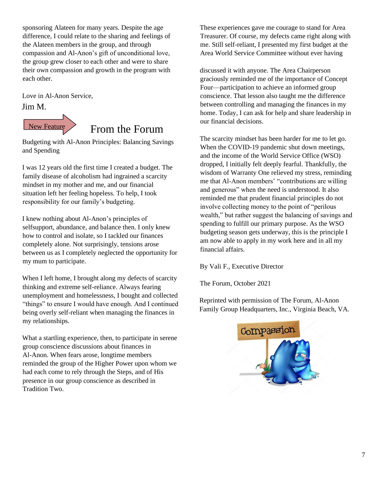sponsoring Alateen for many years. Despite the age difference, I could relate to the sharing and feelings of the Alateen members in the group, and through compassion and Al-Anon's gift of unconditional love, the group grew closer to each other and were to share their own compassion and growth in the program with each other.

Love in Al-Anon Service, Jim M.



# From the Forum

Budgeting with Al-Anon Principles: Balancing Savings and Spending

I was 12 years old the first time I created a budget. The family disease of alcoholism had ingrained a scarcity mindset in my mother and me, and our financial situation left her feeling hopeless. To help, I took responsibility for our family's budgeting.

I knew nothing about Al‑Anon's principles of selfsupport, abundance, and balance then. I only knew how to control and isolate, so I tackled our finances completely alone. Not surprisingly, tensions arose between us as I completely neglected the opportunity for my mum to participate.

When I left home, I brought along my defects of scarcity thinking and extreme self-reliance. Always fearing unemployment and homelessness, I bought and collected "things" to ensure I would have enough. And I continued being overly self-reliant when managing the finances in my relationships.

What a startling experience, then, to participate in serene group conscience discussions about finances in Al‑Anon. When fears arose, longtime members reminded the group of the Higher Power upon whom we had each come to rely through the Steps, and of His presence in our group conscience as described in Tradition Two.

These experiences gave me courage to stand for Area Treasurer. Of course, my defects came right along with me. Still self-reliant, I presented my first budget at the Area World Service Committee without ever having

discussed it with anyone. The Area Chairperson graciously reminded me of the importance of Concept Four—participation to achieve an informed group conscience. That lesson also taught me the difference between controlling and managing the finances in my home. Today, I can ask for help and share leadership in our financial decisions.

The scarcity mindset has been harder for me to let go. When the COVID-19 pandemic shut down meetings, and the income of the World Service Office (WSO) dropped, I initially felt deeply fearful. Thankfully, the wisdom of Warranty One relieved my stress, reminding me that Al‑Anon members' "contributions are willing and generous" when the need is understood. It also reminded me that prudent financial principles do not involve collecting money to the point of "perilous wealth," but rather suggest the balancing of savings and spending to fulfill our primary purpose. As the WSO budgeting season gets underway, this is the principle I am now able to apply in my work here and in all my financial affairs.

By Vali F., Executive Director

The Forum, October 2021

Reprinted with permission of The Forum, Al-Anon Family Group Headquarters, Inc., Virginia Beach, VA.

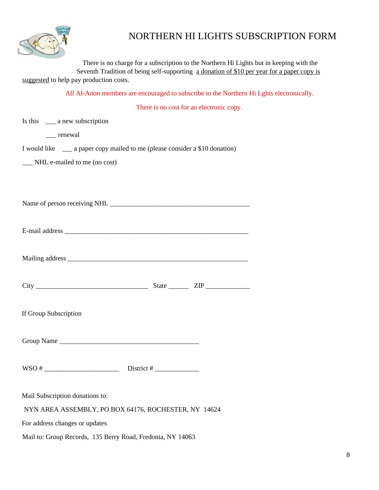

# NORTHERN HI LIGHTS SUBSCRIPTION FORM

There is no charge for a subscription to the Northern Hi Lights but in keeping with the Seventh Tradition of being self-supporting a donation of \$10 per year for a paper copy is suggested to help pay production costs.

All Al-Anon members are encouraged to subscribe to the Northern Hi Lghts electronically.

There is no cost for an electronic copy.

|                                                            | There is no cost for an electronic copy.                                       |
|------------------------------------------------------------|--------------------------------------------------------------------------------|
| Is this $\_\_\_\$ a new subscription                       |                                                                                |
| __ renewal                                                 |                                                                                |
|                                                            | I would like _____ a paper copy mailed to me (please consider a \$10 donation) |
| __ NHL e-mailed to me (no cost)                            |                                                                                |
|                                                            |                                                                                |
|                                                            |                                                                                |
|                                                            |                                                                                |
|                                                            |                                                                                |
|                                                            |                                                                                |
|                                                            |                                                                                |
|                                                            |                                                                                |
|                                                            |                                                                                |
|                                                            | $City$ $ZIP$ $ZIP$                                                             |
| If Group Subscription                                      |                                                                                |
|                                                            |                                                                                |
|                                                            |                                                                                |
|                                                            |                                                                                |
|                                                            |                                                                                |
|                                                            |                                                                                |
| Mail Subscription donations to:                            |                                                                                |
|                                                            | NYN AREA ASSEMBLY, PO BOX 64176, ROCHESTER, NY 14624                           |
| For address changes or updates                             |                                                                                |
| Mail to: Group Records, 135 Berry Road, Fredonia, NY 14063 |                                                                                |